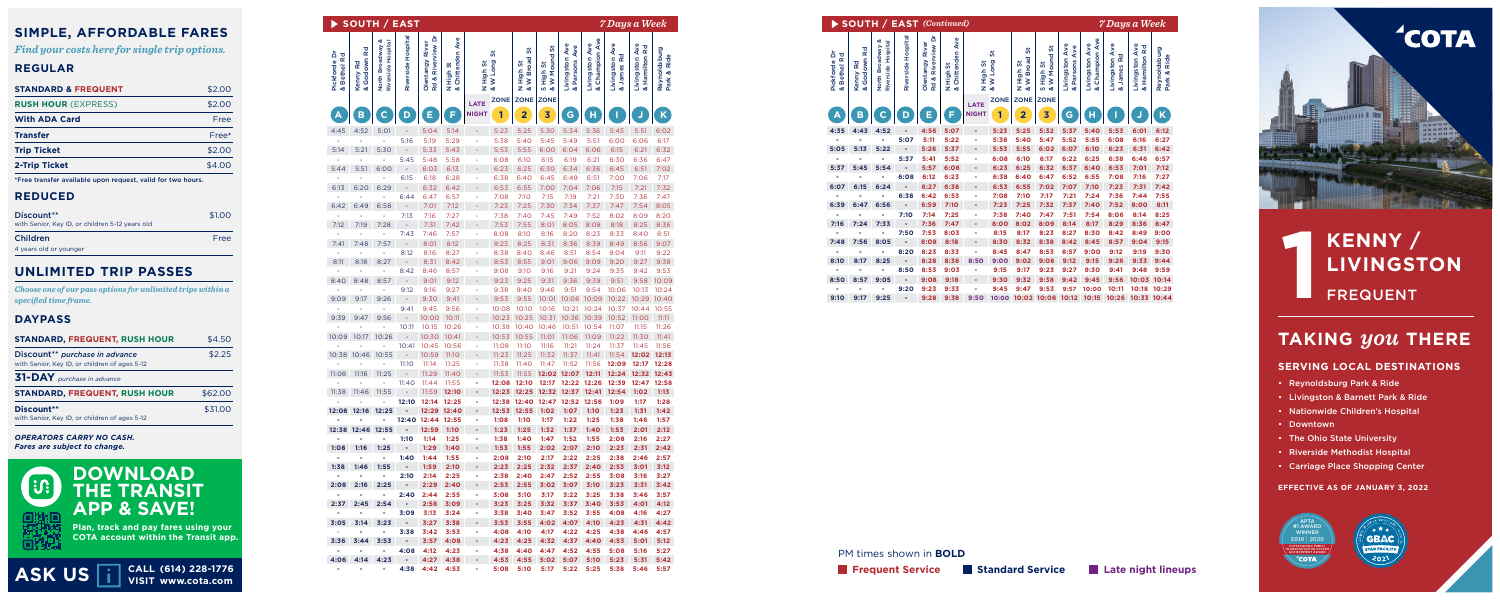| <b>SOUTH / EAST</b><br>7 Days a Week |                                    |                                                           |                                       |                            |  |                             |           |                                                                  |                               |                         |                                 |                                     |                                        |                             |
|--------------------------------------|------------------------------------|-----------------------------------------------------------|---------------------------------------|----------------------------|--|-----------------------------|-----------|------------------------------------------------------------------|-------------------------------|-------------------------|---------------------------------|-------------------------------------|----------------------------------------|-----------------------------|
|                                      | Kenny Rd<br>& Godown<br>ă<br>North | ospital<br>Hospital<br>erside<br>Riverside<br>$\tilde{R}$ | ۵<br>River<br>Olentangy<br>Rd & River | High St<br>Chitten<br>z os |  | High St<br>W Long<br>Z os   | <b>in</b> | 55<br>5<br><b>Broa</b><br>High<br><b>W</b> Bre<br>$Z \, \propto$ | 5<br>High St<br>W Mour<br>ဟ ထ | Livingston<br>& Parsons | Livingston Ave<br>& Champion Av | Livingston<br>& James Ro            | Ave<br>Livingston Ave<br>& Hamilton Rd | Reynoldsburg<br>Park & Ride |
|                                      | (B)                                | D                                                         | E.                                    | F.                         |  | <b>LATE</b><br><b>NIGHT</b> |           | ZONE ZONE ZONE                                                   |                               |                         |                                 |                                     |                                        | $\mathbf{K}$                |
|                                      | 4:52<br>5:01                       |                                                           |                                       | 5:14                       |  |                             | 5:23      |                                                                  | 5:30                          | 5:34                    | 5:36                            | 5:45                                | 5:51                                   | 6:02                        |
|                                      |                                    | 5:16                                                      | 5:19                                  | 5:29                       |  |                             | 5:38      | 5:40                                                             | 5:45                          | 5:49                    | 5:51                            | 6:00                                | 6:06                                   | 6:17                        |
|                                      | 5:21<br>5:30                       | $\sim$                                                    | 5:33                                  | 5:43                       |  |                             | 5:53      | 5:55                                                             | 6:00                          | 6:04                    | 6:06                            | 6:15                                | 6:21                                   | 6:32                        |
|                                      |                                    | 5:45                                                      | 5:48                                  | 5:58                       |  |                             |           |                                                                  |                               |                         |                                 | 6:30                                | 6:36                                   | 6:47                        |
|                                      | 5:51<br>6:00                       |                                                           | 6:03                                  | 6:13                       |  |                             | 6:23      |                                                                  | 6:30                          | 6:34                    | 6:36                            | 6:45                                | 6:51                                   | 7:02                        |
|                                      |                                    | 6:15                                                      | 6:18                                  | 6:28                       |  |                             | 6:38      |                                                                  | 6:45                          | 6:49                    | 6:51                            | 7:00                                | 7:06                                   | 7:17                        |
|                                      | 6:29<br>6:20                       |                                                           | 6:32                                  | 6:42                       |  |                             | 6:53      |                                                                  | 7:00                          | 7:04                    | 7:06                            | 7:15                                | 7:21                                   | 7:32                        |
|                                      |                                    | 6:44                                                      | 6:47                                  | 6:57                       |  |                             | 7:08      |                                                                  |                               |                         |                                 | 7:30                                | 7:36                                   | 7:47                        |
|                                      | 6:49<br>6:58                       |                                                           |                                       |                            |  |                             |           |                                                                  |                               |                         | 7:37                            | 7:47                                |                                        | 7:54 8:05                   |
|                                      |                                    | 7:13                                                      | 7:16                                  | 7:27                       |  |                             | 7:38      | 7:40                                                             |                               |                         | ':52                            | 8:02                                | 8:09                                   | 8:20                        |
|                                      | 7:28<br>7:19                       |                                                           | 7:31                                  | 7:42                       |  |                             | 7:53      |                                                                  | 8:01                          | 8:05                    | 8:08                            | 8:18                                | 8:25                                   | 8:36                        |
|                                      |                                    |                                                           | 7:43 7:46                             | 7:57                       |  |                             | 8:08      |                                                                  |                               | 8:20                    | 8:23                            | 8:33                                | 8:40                                   | 8:51                        |
|                                      | 7:57<br>7:48                       | $\sim$                                                    | 8:01                                  | 8:12                       |  |                             | 8:23      |                                                                  | 8:31                          | 8:36                    | 8:39                            | 8:49                                | 8:56                                   | 9:07                        |
|                                      |                                    | 8:12                                                      |                                       |                            |  |                             |           |                                                                  |                               |                         | 8:54                            | 9:04                                | 9:11                                   | 9:22                        |
|                                      | 8:18<br>8:27                       |                                                           | 8:31                                  | 8:42                       |  |                             | 8:53      | 8:55                                                             | 9:01                          | 9:06                    | 9:09                            | 9:20                                | 9:27                                   | 9:38                        |
|                                      |                                    | 8:42                                                      | 8:46                                  | 8:57                       |  |                             | 9:08      | 9:10                                                             | 9:16                          | 9:21                    | 9:24                            | 9:35                                | 9:42                                   | 9:53                        |
|                                      | 8:48 8:57                          | $\sim$                                                    | 9:01                                  | 9:12                       |  |                             | 9:23      | 9:25                                                             | 9:31                          | 9:36                    | 9:39                            | 9:51                                |                                        | 9:58 10:09                  |
|                                      |                                    | 9:12                                                      | 9:16                                  | 9:27                       |  |                             | 9:38      | 9.40                                                             | 9:46                          | 9:51                    | 9:54                            | 10:06                               |                                        | 10:13 10:24                 |
|                                      | 9:17<br>9:26                       |                                                           | 9:30                                  | 9:41                       |  |                             | 9:53      | 9:55                                                             |                               |                         |                                 | 10:01 10:06 10:09 10:22 10:29 10:40 |                                        |                             |

# **KENNY /<br>LIVINGS<br>FREQUENT<br>AND FREQUENT LIVINGSTON**

|                                              |         |                                   |                           | $\blacktriangleright$ SOUTH / EAST      |                      |                                                     |                                      |                             |                                                 |                                 |                                |                           |                                          | 7 Days a Week                                   |                                                |                             |                                |                                | $\triangleright$ SOUTH / EAST (Con              |                       |
|----------------------------------------------|---------|-----------------------------------|---------------------------|-----------------------------------------|----------------------|-----------------------------------------------------|--------------------------------------|-----------------------------|-------------------------------------------------|---------------------------------|--------------------------------|---------------------------|------------------------------------------|-------------------------------------------------|------------------------------------------------|-----------------------------|--------------------------------|--------------------------------|-------------------------------------------------|-----------------------|
| <b>DABLE FARES</b><br>r single trip options. | \$2.00  | ក្ដី ខ្ព<br>Pickforde<br>& Bethel | 짍<br>R<br>Kenny<br>& Godc | Hospital<br>North Broadway<br>Riverside | Hospita<br>Riverside | ā<br>view<br>$\tilde{R}$<br>Olentangy<br>Rd & River | Ave<br>High St<br>Chittenden<br>Z os |                             | 5<br>High St<br>W Long<br>Z os                  | 55<br>High St<br>W Broad<br>Z & | ΰ,<br>S High St<br>& W Mound : | Livingston<br>& Parsons / | $\frac{2}{5}$<br>Livingston<br>& Champio | Rd<br>Livingston<br>James<br>య                  | ठ<br>$\propto$<br>Livingston A<br>& Hamilton I | Reynoldsburg<br>Park & Ride | 효 및<br>Pickforde<br>& Bethel R | own<br>Rd<br>Kenny<br>God<br>య | Hospital<br>North Broadway<br>Riverside Hospita | Hospital<br>Riverside |
|                                              |         |                                   |                           |                                         |                      |                                                     |                                      |                             | ZONE ZONE ZONE                                  |                                 |                                |                           |                                          |                                                 |                                                |                             |                                |                                |                                                 |                       |
|                                              | \$2.00  | $\mathbf{A}$                      | B                         | $\mathbf C$                             | D                    | Е                                                   | F.                                   | <b>LATE</b><br><b>NIGHT</b> |                                                 | $\mathbf{2}$                    | 3                              | G                         |                                          |                                                 |                                                |                             |                                | B                              | $\mathbf C$                                     | D                     |
|                                              | Free    |                                   |                           |                                         |                      |                                                     |                                      |                             |                                                 |                                 |                                |                           |                                          |                                                 |                                                |                             |                                |                                |                                                 |                       |
|                                              | Free*   | 4:45                              | 4:52                      | 5:01                                    |                      | 5:04                                                | 5:14                                 |                             | 5:23                                            | 5:25                            | 5:30                           | 5:34                      | 5:36                                     | 5:45                                            | 5:51                                           | 6:02<br>6:17                | 4:35                           | 4:43                           | 4:52                                            | 5:07                  |
|                                              | \$2.00  | 5:14                              | 5:21                      | 5:30                                    | 5:16<br>$\sim$       | 5:19<br>5:33 5:43                                   | 5:29                                 |                             | 5:38<br>5:53                                    | 5:40<br>5:55                    | 5:45<br>6:00 6:04 6:06         | 5:49                      | 5:51                                     | 6:00<br>6:15                                    | 6:06<br>6:21                                   | 6:32                        | 5:05                           | 5:13                           | 5:22                                            |                       |
|                                              | \$4.00  |                                   |                           |                                         | 5:45                 | 5:48                                                | 5:58                                 |                             | 6:08                                            | 6:10                            | 6:15                           | 6:19                      | 6:21                                     | 6:30                                            | 6:36                                           | 6:47                        |                                |                                |                                                 | 5:37                  |
|                                              |         | 5:44                              | 5:51                      | 6:00                                    |                      | 6:03                                                | 6:13                                 |                             | 6:23                                            | 6:25                            | 6:30 6:34 6:36                 |                           |                                          | 6:45                                            | 6:51                                           | 7:02                        | 5:37                           |                                | 5:45 5:54                                       | 6:08                  |
| est, valid for two hours.                    |         | 6:13                              | 6:20                      | 6:29                                    | 6:15                 | 6:18<br>6:32                                        | 6:28<br>6:42                         |                             | 6:38<br>6:53                                    | 6:40<br>6:55                    | 6:45<br>7:00 7:04 7:06         | 6:49                      | 6:51                                     | 7:00<br>7:15                                    | 7:06<br>7:21                                   | 7:17<br>7:32                | 6:07                           | 6:15                           | 6:24                                            |                       |
|                                              |         |                                   |                           |                                         | 6:44                 | 6:47                                                | 6:57                                 |                             | 7:08                                            | 7:10                            | 7:15                           | 7:19                      | 7:21                                     | 7:30                                            | 7:36                                           | 7:47                        |                                |                                |                                                 | 6:38                  |
|                                              |         | 6:42                              | 6:49                      | 6:58                                    |                      | 7:01                                                | 7:12                                 |                             | 7:23                                            | 7:25                            | 7:30                           | 7:34                      | 7:37                                     | 7:47                                            | 7:54 8:05                                      |                             | 6:39                           | 6:47                           | 6:56                                            |                       |
| ears old                                     | \$1.00  | 7:12                              | 7:19                      | 7:28                                    | 7:13                 | 7:16<br>7:31                                        | 7:27<br>7:42                         |                             | 7:38<br>7:53                                    | 7:40<br>7:55                    | 7:45<br>8:01                   | 7:49<br>8:05              | 7:52<br>8:08                             | 8:02<br>8:18                                    | 8:09<br>8:25                                   | 8:20<br>8:36                | 7:16                           | $7:24$ $7:33$                  |                                                 | 7:10                  |
|                                              |         |                                   |                           |                                         | 7:43                 | 7:46                                                | 7:57                                 |                             | 8:08                                            | 8:10                            | 8:16                           | 8:20                      | 8:23                                     | 8:33                                            | 8:40                                           | 8:51                        |                                |                                |                                                 | 7:50 7:53             |
|                                              | Free    |                                   | 7:41 7:48                 | 7:57                                    |                      | 8:01                                                | 8:12                                 |                             | 8:23                                            | 8:25                            |                                | 8:31 8:36 8:39            |                                          | 8:49 8:56                                       |                                                | 9:07                        | 7:48                           | 7:56                           | 8:05                                            |                       |
|                                              |         |                                   |                           |                                         | 8:12                 | 8:16                                                | 8:27                                 |                             | 8:38                                            | 8:40                            | 8:46                           | 8:51                      | 8:54                                     | 9:04                                            | 9:11                                           | 9:22                        |                                |                                |                                                 | 8:20                  |
| <b>PASSES</b>                                |         | 8:11                              | 8:18                      | 8:27                                    | 8:42                 | 8:31<br>8:46                                        | 8:42<br>8:57                         |                             | 8:53<br>9:08                                    | 8:55<br>9:10                    | 9:01<br>9:16                   | 9:06<br>9:21              | 9:09<br>9:24                             | 9:20<br>9:35                                    | 9:27<br>9:42                                   | 9:38<br>9:53                | 8:10                           | 8:17                           | 8:25                                            | 8:50                  |
|                                              |         | 8:40                              | 8:48                      | 8:57                                    |                      | 9:01                                                | 9:12                                 |                             | 9:23                                            | 9:25                            |                                | 9:31 9:36 9:39            |                                          | 9:51                                            | 9:58 10:09                                     |                             | 8:50                           | 8:57                           | 9:05                                            |                       |
| for unlimited trips within a                 |         |                                   |                           |                                         | 9:12                 | 9:16                                                | 9:27                                 |                             | 9:38                                            | 9:40                            | 9:46                           | 9:51                      | 9:54                                     | 10:06                                           | 10:13 10:24                                    |                             |                                |                                |                                                 | 9:20 9:23             |
|                                              |         | 9:09                              | 9:17                      | 9:26                                    |                      | 9:30                                                | 9:41                                 |                             | 9:53                                            |                                 |                                |                           |                                          | 9:55  10:01  10:06  10:09  10:22  10:29  10:40  |                                                |                             | 9:10                           | 9:17                           | 9:25                                            |                       |
|                                              |         | 9:39                              | 9:47                      | 9:56                                    | 9:41                 | 9:45<br>10:00                                       | 9:56<br>10:11                        |                             | 10:08<br>10:23                                  | 10:10                           | 10:16<br>10:25 10:31 10:36     |                           | 10:21 10:24<br>10:39                     | 10:37<br>10:52 11:00                            | 10:44 10:55                                    | 11:11                       |                                |                                |                                                 |                       |
|                                              |         |                                   |                           |                                         |                      | 10:11 10:15 10:26                                   |                                      |                             | 10:38 10:40 10:46 10:51 10:54 11:07             |                                 |                                |                           |                                          |                                                 | 11:15 11:26                                    |                             |                                |                                |                                                 |                       |
| USH HOUR                                     | \$4.50  | 10:09                             | 10:17                     | 10:26                                   |                      | 10:30                                               | 10:41                                |                             | 10:53 10:55 11:01 11:06 11:09                   |                                 |                                |                           |                                          | 11:22 11:30                                     |                                                | 11:41                       |                                |                                |                                                 |                       |
|                                              | \$2.25  |                                   | 10:38 10:46 10:55         |                                         | 10:41                | 10:45<br>10:59 11:10                                | 10:56                                |                             | 11:08<br>11:23                                  | 11:10                           | 11:16<br>11:25 11:32 11:37     | 11:21                     | 11:24                                    | 11:37<br>11:41 11:54 12:02 12:13                | 11:45                                          | 11:56                       |                                |                                |                                                 |                       |
| ce<br>es 5-12                                |         |                                   |                           |                                         | 11:10                | 11:14                                               | 11:25                                |                             | 11:38                                           | 11:40                           | 11:47                          | 11:52                     | 11:56                                    | 12:09                                           | 12:17 12:28                                    |                             |                                |                                |                                                 |                       |
|                                              |         | 11:08                             | 11:16                     | 11:25                                   |                      | 11:29 11:40                                         |                                      |                             | 11:53                                           |                                 |                                |                           |                                          | 11:55 12:02 12:07 12:11 12:24 12:32 12:43       |                                                |                             |                                |                                |                                                 |                       |
|                                              |         |                                   |                           |                                         |                      | 11:40 11:44                                         | 11:55                                |                             | 12:08 12:10 12:17 12:22 12:26 12:39 12:47 12:58 |                                 |                                |                           |                                          |                                                 |                                                |                             |                                |                                |                                                 |                       |
| <b>USH HOUR</b>                              | \$62.00 | 11:38                             | 11:46                     | 11:55                                   | 12:10                | 11:59 12:10<br>12:14 12:25                          |                                      |                             | 12:23<br>12:38                                  |                                 | 12:40 12:47 12:52 12:56        |                           |                                          | 12:25 12:32 12:37 12:41 12:54 1:02<br>1:09      | 1:17                                           | 1:13<br>1:28                |                                |                                |                                                 |                       |
|                                              | \$31.00 |                                   | 12:08 12:16 12:25         |                                         |                      | 12:29 12:40                                         |                                      |                             | 12:53                                           |                                 | 12:55 1:02 1:07 1:10           |                           |                                          | 1:23                                            | 1:31                                           | 1:42                        |                                |                                |                                                 |                       |
| es 5-12                                      |         |                                   |                           |                                         |                      | 12:40 12:44                                         | 12:55                                |                             | 1:08                                            | 1:10                            | 1:17                           | 1:22                      | 1:25                                     | 1:38                                            | 1:46                                           | 1:57                        |                                |                                |                                                 |                       |
| Н.                                           |         |                                   |                           | 12:38 12:46 12:55                       |                      | $-$ 12:59 1:10                                      |                                      | <b>A</b>                    | 1:23                                            | 1:25                            | $1:32$ $1:37$ $1:40$           |                           |                                          | 1:53                                            | $2:01$ $2:12$                                  |                             |                                |                                |                                                 |                       |
|                                              |         | 1:08                              | 1:16                      | 1:25                                    | 1:10                 | 1:14<br>1:29                                        | 1:25<br>1:40                         |                             | 1:38<br>1:53                                    | 1:40<br>1:55                    | 1:47<br>2:02 2:07 2:10         | 1:52                      | 1:55                                     | 2:08<br>2:23                                    | 2:16<br>$2:31$ $2:42$                          | 2:27                        |                                |                                |                                                 |                       |
|                                              |         |                                   |                           |                                         | 1:40                 | 1:44                                                | 1:55                                 |                             | 2:08                                            | 2:10                            | 2:17                           | 2:22                      | 2:25                                     | 2:38                                            | 2:46                                           | 2:57                        |                                |                                |                                                 |                       |
| <b>NLOAD</b>                                 |         | 1:38                              |                           | $1:46$ 1:55                             | $\sim$               | $1:59$ 2:10                                         |                                      |                             |                                                 |                                 |                                |                           |                                          | 2:23 2:25 2:32 2:37 2:40 2:53 3:01 3:12         |                                                |                             |                                |                                |                                                 |                       |
|                                              |         | 2:08                              | 2:16                      | 2:25                                    | 2:10                 | 2:14<br>2:29                                        | 2:25<br>2:40                         | $\sim 100$                  | 2:38                                            | 2:40                            |                                | 2:47 2:52 2:55            |                                          | 3:08<br>2:53 2:55 3:02 3:07 3:10 3:23 3:31 3:42 | 3:16                                           | 3:27                        |                                |                                |                                                 |                       |
| <b>RANSIT</b>                                |         |                                   |                           |                                         | $\sim$               | 2:40 2:44 2:55                                      |                                      | on the                      | 3:08                                            | 3:10                            |                                |                           |                                          | 3:17 3:22 3:25 3:38 3:46 3:57                   |                                                |                             |                                |                                |                                                 |                       |
|                                              |         | 2:37                              | 2:45                      | 2:54                                    |                      | 2:58                                                | 3:09                                 |                             | 3:23                                            |                                 | 3:25 3:32 3:37 3:40            |                           |                                          | 3:53 4:01 4:12                                  |                                                |                             |                                |                                |                                                 |                       |
| <b>SAVE!</b>                                 |         |                                   |                           |                                         | 3:09                 | 3:13                                                | 3:24                                 |                             | 3:38                                            |                                 | 3:40 3:47                      |                           | $3:52$ $3:55$                            | 4:08                                            | 4:16                                           | 4:27                        |                                |                                |                                                 |                       |
| nd pay fares using your                      |         | 3:05                              |                           | $3:14$ $3:23$                           | $\sim$<br>3:38       | $3:27$ $3:38$<br>3:42                               | 3:53                                 | <b>Contract</b>             | 4:08                                            | 4:10                            | 4:17                           | 4:22                      | 4:25                                     | 3:53 3:55 4:02 4:07 4:10 4:23 4:31 4:42<br>4:38 | 4:46                                           | 4:57                        |                                |                                |                                                 |                       |
| nt within the Transit app.                   |         | 3:36                              | 3:44                      | 3:53                                    |                      | 3:57                                                | 4:08                                 | $\sim$                      |                                                 |                                 | 4:23 4:25 4:32 4:37 4:40       |                           |                                          | 4:53 5:01                                       |                                                | 5:12                        |                                |                                |                                                 |                       |
|                                              |         |                                   |                           |                                         |                      | 4:08 4:12 4:23                                      |                                      | <b>Section</b>              | 4:38                                            |                                 |                                |                           | 4:40 4:47 4:52 4:55 5:08                 |                                                 | 5:16 5:27                                      |                             |                                |                                | PM times shown in <b>E</b>                      |                       |
|                                              |         |                                   | 4:06 4:14 4:23            |                                         |                      | 4:27 4:38                                           |                                      |                             | 4:53                                            |                                 |                                |                           |                                          | 4:55 5:02 5:07 5:10 5:23 5:31 5:42              |                                                |                             |                                |                                |                                                 |                       |
| CALL (614) 228-1776                          |         |                                   |                           |                                         |                      | 4:38 4:42 4:53                                      |                                      | 197                         | 5:08                                            |                                 |                                |                           |                                          | 5:10 5:17 5:22 5:25 5:38 5:46 5:57              |                                                |                             |                                |                                | <b>Frequent Service</b>                         |                       |

PM times shown in **BOLD**

**VISIT www.cota.com ASK US**

**Plan, track and pay fares using your COTA account within the Transit app.** 

**DOWNLOAD THE TRANSIT APP & SAVE!** 

### **SIMPLE, AFFORDABLE FARES**

*Find your costs here for single trip options.*

#### **REGULAR**

| <b>STANDARD &amp; FREQUENT</b>                                              | \$2.00 |
|-----------------------------------------------------------------------------|--------|
| <b>RUSH HOUR (EXPRESS)</b>                                                  | \$2.00 |
| <b>With ADA Card</b>                                                        | Free   |
| <b>Transfer</b>                                                             | Free*  |
| <b>Trip Ticket</b>                                                          | \$2.00 |
| 2-Trip Ticket                                                               | \$4.00 |
| s maga shaga afaa arra Halala she ala lagan agus an shekal fan Arra lagana. |        |

\*Free transfer available upon request, valid for two hours.

#### **REDUCED**

| Discount**<br>with Senior, Key ID, or children 5-12 years old | \$1.00 |
|---------------------------------------------------------------|--------|
| Children                                                      | Free   |
| 4 years old or younger                                        |        |

### **UNLIMITED TRIP PASSES**

*Choose one of our pass options for unlimited trips within a specified time frame.*

#### **DAYPASS**

| <b>STANDARD, FREQUENT, RUSH HOUR</b>                                            | \$4.50  |
|---------------------------------------------------------------------------------|---------|
| Discount** purchase in advance<br>with Senior, Key ID, or children of ages 5-12 | \$2.25  |
| 31-DAY purchase in advance                                                      |         |
| <b>STANDARD, FREQUENT, RUSH HOUR</b>                                            | \$62.00 |
| Discount**<br>with Senior, Key ID, or children of ages 5-12                     | \$31.00 |

*OPERATORS CARRY NO CASH. Fares are subject to change.*



**Standard Service Late night lineups**



### **TAKING** *you* **THERE**

#### **SERVING LOCAL DESTINATIONS**

- Reynoldsburg Park & Ride
- Livingston & Barnett Park & Ride
- Nationwide Children's Hospital
- Downtown
- The Ohio State University
- Riverside Methodist Hospital
- Carriage Place Shopping Center

#### **EFFECTIVE AS OF JANUARY 3, 2022**



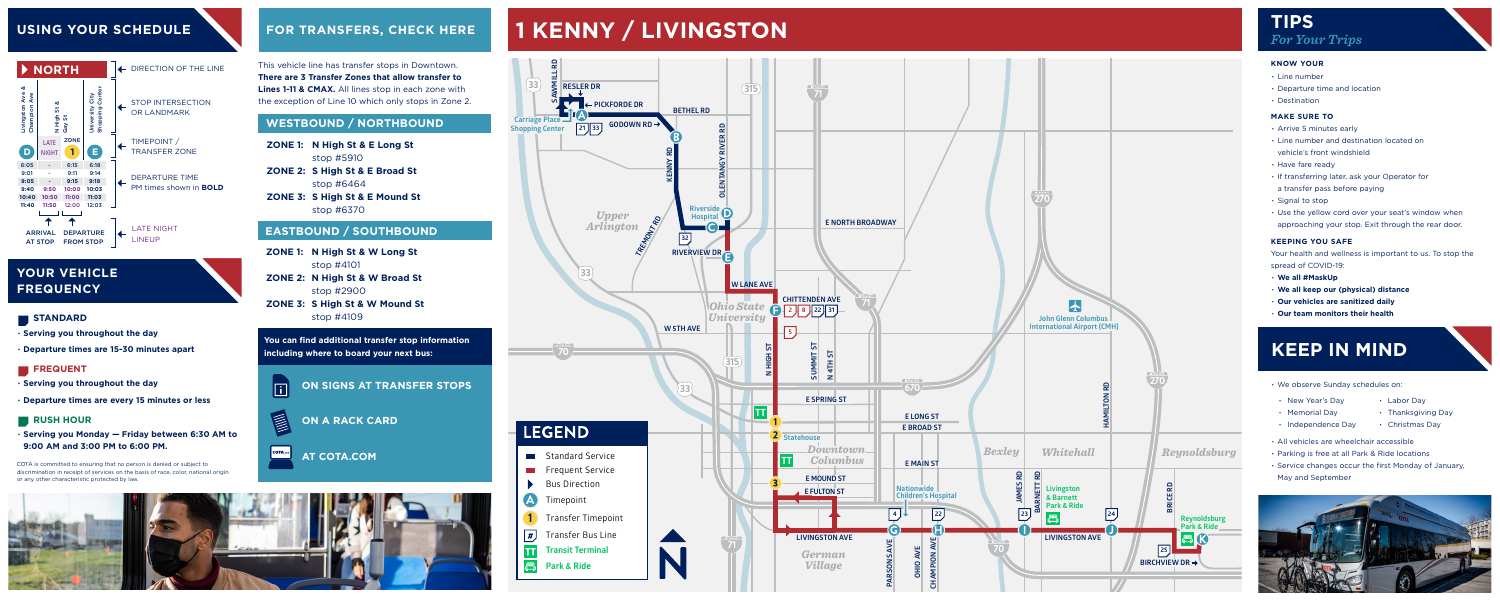- **∙ Serving you throughout the day**
- **∙ Departure times are 15-30 minutes apart**

#### **FREQUENT**

- **∙ Serving you throughout the day**
- **∙ Departure times are every 15 minutes or less**

#### **RUSH HOUR**

**∙ Serving you Monday — Friday between 6:30 AM to 9:00 AM and 3:00 PM to 6:00 PM.**

This vehicle line has transfer stops in Downtown. **There are 3 Transfer Zones that allow transfer to Lines 1-11 & CMAX.** All lines stop in each zone with the exception of Line 10 which only stops in Zone 2.

- 
- 
- 

- 
- 
- 
- 
- 
- 
- 
- 

- 
- 
- 
- 

- 
- 
- 
- 
- -
- 
- 
- 

### **USING YOUR SCHEDULE**

### **YOUR VEHICLE FREQUENCY**

#### **STANDARD**



## **FOR TRANSFERS, CHECK HERE TIPS 1 KENNY / LIVINGSTON**

COTA is committed to ensuring that no person is denied or subject to discrimination in receipt of services on the basis of race, color, national origin or any other characteristic protected by law.

**AT COTA.COM**





**You can find additional transfer stop information including where to board your next bus:**



 $\overline{\phantom{a}}$  COTA.com

**ON SIGNS AT TRANSFER STOPS**

**N High St & E Long St ZONE 1:**  stop #5910 **S High St & E Broad St ZONE 2:**  stop #6464 **ZONE 3: S High St & E Mound St** stop #6370

- **N High St & W Long St ZONE 1:**  stop #4101 **N High St & W Broad St ZONE 2:**  stop #2900
- **ZONE 3: S High St & W Mound St** stop #4109

### **WESTBOUND / NORTHBOUND**

#### **EASTBOUND / SOUTHBOUND**